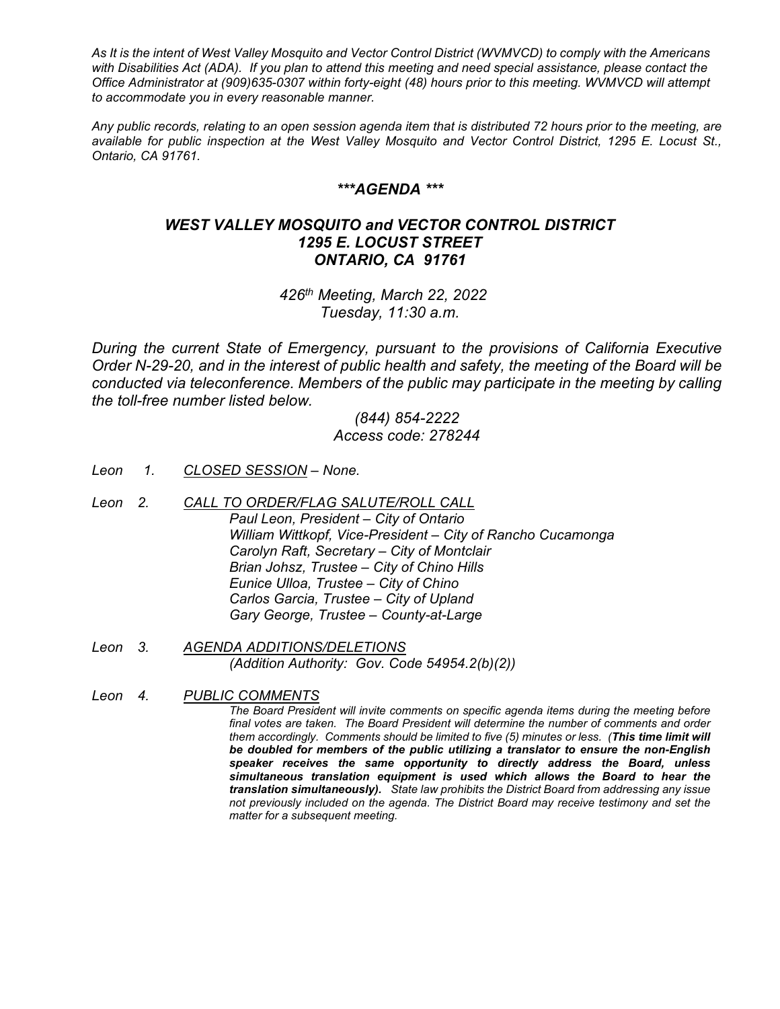*As It is the intent of West Valley Mosquito and Vector Control District (WVMVCD) to comply with the Americans with Disabilities Act (ADA). If you plan to attend this meeting and need special assistance, please contact the Office Administrator at (909)635-0307 within forty-eight (48) hours prior to this meeting. WVMVCD will attempt to accommodate you in every reasonable manner.*

*Any public records, relating to an open session agenda item that is distributed 72 hours prior to the meeting, are available for public inspection at the West Valley Mosquito and Vector Control District, 1295 E. Locust St., Ontario, CA 91761.*

### *\*\*\*AGENDA \*\*\**

# *WEST VALLEY MOSQUITO and VECTOR CONTROL DISTRICT 1295 E. LOCUST STREET ONTARIO, CA 91761*

*426th Meeting, March 22, 2022 Tuesday, 11:30 a.m.*

*During the current State of Emergency, pursuant to the provisions of California Executive Order N-29-20, and in the interest of public health and safety, the meeting of the Board will be*  conducted via teleconference. Members of the public may participate in the meeting by calling *the toll-free number listed below.*

# *(844) 854-2222 Access code: 278244*

- *Leon 1. CLOSED SESSION – None.*
- *Leon 2. CALL TO ORDER/FLAG SALUTE/ROLL CALL Paul Leon, President – City of Ontario William Wittkopf, Vice-President – City of Rancho Cucamonga Carolyn Raft, Secretary – City of Montclair Brian Johsz, Trustee – City of Chino Hills Eunice Ulloa, Trustee – City of Chino Carlos Garcia, Trustee – City of Upland Gary George, Trustee – County-at-Large*
- *Leon 3. AGENDA ADDITIONS/DELETIONS (Addition Authority: Gov. Code 54954.2(b)(2))*
- *Leon 4. PUBLIC COMMENTS*

*The Board President will invite comments on specific agenda items during the meeting before final votes are taken. The Board President will determine the number of comments and order them accordingly. Comments should be limited to five (5) minutes or less. (This time limit will be doubled for members of the public utilizing a translator to ensure the non-English speaker receives the same opportunity to directly address the Board, unless simultaneous translation equipment is used which allows the Board to hear the translation simultaneously). State law prohibits the District Board from addressing any issue not previously included on the agenda. The District Board may receive testimony and set the matter for a subsequent meeting.*